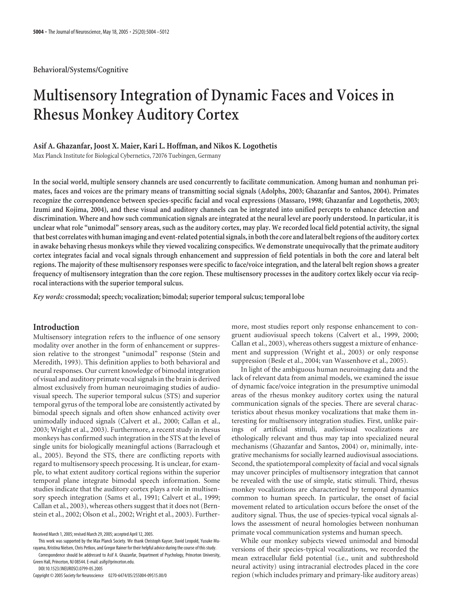## **Behavioral/Systems/Cognitive**

# **Multisensory Integration of Dynamic Faces and Voices in Rhesus Monkey Auditory Cortex**

# **Asif A. Ghazanfar, Joost X. Maier, Kari L. Hoffman, and Nikos K. Logothetis**

Max Planck Institute for Biological Cybernetics, 72076 Tuebingen, Germany

**In the social world, multiple sensory channels are used concurrently to facilitate communication. Among human and nonhuman primates, faces and voices are the primary means of transmitting social signals (Adolphs, 2003; Ghazanfar and Santos, 2004). Primates recognize the correspondence between species-specific facial and vocal expressions (Massaro, 1998; Ghazanfar and Logothetis, 2003; Izumi and Kojima, 2004), and these visual and auditory channels can be integrated into unified percepts to enhance detection and discrimination. Where and how such communication signals are integrated at the neural level are poorly understood. In particular, it is unclear what role "unimodal" sensory areas, such as the auditory cortex, may play. We recorded local field potential activity, the signal that best correlates with humanimaging and event-related potential signals,in boththe core and lateral belt regions ofthe auditory cortex in awake behaving rhesus monkeys while they viewed vocalizing conspecifics. We demonstrate unequivocally that the primate auditory cortex integrates facial and vocal signals through enhancement and suppression of field potentials in both the core and lateral belt regions. The majority of these multisensory responses were specific to face/voice integration, and the lateral belt region shows a greater frequency of multisensory integration than the core region. These multisensory processes in the auditory cortex likely occur via reciprocal interactions with the superior temporal sulcus.**

*Key words:***crossmodal; speech; vocalization; bimodal; superior temporal sulcus; temporal lobe**

# **Introduction**

Multisensory integration refers to the influence of one sensory modality over another in the form of enhancement or suppression relative to the strongest "unimodal" response (Stein and Meredith, 1993). This definition applies to both behavioral and neural responses. Our current knowledge of bimodal integration of visual and auditory primate vocal signals in the brain is derived almost exclusively from human neuroimaging studies of audiovisual speech. The superior temporal sulcus (STS) and superior temporal gyrus of the temporal lobe are consistently activated by bimodal speech signals and often show enhanced activity over unimodally induced signals (Calvert et al., 2000; Callan et al., 2003; Wright et al., 2003). Furthermore, a recent study in rhesus monkeys has confirmed such integration in the STS at the level of single units for biologically meaningful actions (Barraclough et al., 2005). Beyond the STS, there are conflicting reports with regard to multisensory speech processing. It is unclear, for example, to what extent auditory cortical regions within the superior temporal plane integrate bimodal speech information. Some studies indicate that the auditory cortex plays a role in multisensory speech integration (Sams et al., 1991; Calvert et al., 1999; Callan et al., 2003), whereas others suggest that it does not (Bernstein et al., 2002; Olson et al., 2002; Wright et al., 2003). Further-

Green Hall, Princeton, NJ 08544. E-mail: asifg@princeton.edu. DOI:10.1523/JNEUROSCI.0799-05.2005

more, most studies report only response enhancement to congruent audiovisual speech tokens (Calvert et al., 1999, 2000; Callan et al., 2003), whereas others suggest a mixture of enhancement and suppression (Wright et al., 2003) or only response suppression (Besle et al., 2004; van Wassenhove et al., 2005).

In light of the ambiguous human neuroimaging data and the lack of relevant data from animal models, we examined the issue of dynamic face/voice integration in the presumptive unimodal areas of the rhesus monkey auditory cortex using the natural communication signals of the species. There are several characteristics about rhesus monkey vocalizations that make them interesting for multisensory integration studies. First, unlike pairings of artificial stimuli, audiovisual vocalizations are ethologically relevant and thus may tap into specialized neural mechanisms (Ghazanfar and Santos, 2004) or, minimally, integrative mechanisms for socially learned audiovisual associations. Second, the spatiotemporal complexity of facial and vocal signals may uncover principles of multisensory integration that cannot be revealed with the use of simple, static stimuli. Third, rhesus monkey vocalizations are characterized by temporal dynamics common to human speech. In particular, the onset of facial movement related to articulation occurs before the onset of the auditory signal. Thus, the use of species-typical vocal signals allows the assessment of neural homologies between nonhuman primate vocal communication systems and human speech.

While our monkey subjects viewed unimodal and bimodal versions of their species-typical vocalizations, we recorded the mean extracellular field potential (i.e., unit and subthreshold neural activity) using intracranial electrodes placed in the core region (which includes primary and primary-like auditory areas)

Received March 1, 2005; revised March 29, 2005; accepted April 12, 2005.

This work was supported by the Max Planck Society. We thank Christoph Kayser, David Leopold, Yusuke Murayama, Kristina Nielsen, Chris Petkov, and Gregor Rainer for their helpful advice during the course of this study. Correspondence should be addressed to Asif A. Ghazanfar, Department of Psychology, Princeton University,

Copyright © 2005 Society for Neuroscience 0270-6474/05/255004-09\$15.00/0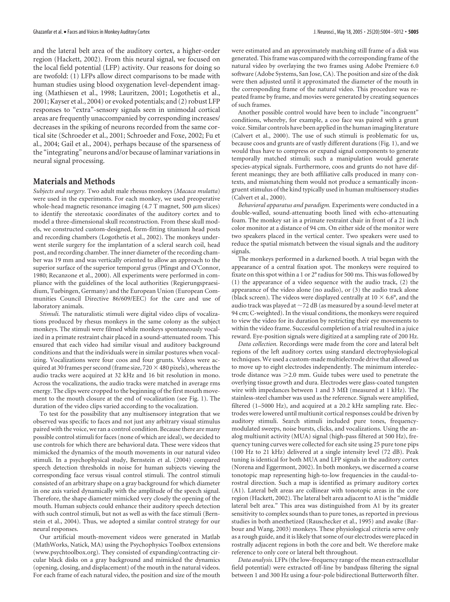and the lateral belt area of the auditory cortex, a higher-order region (Hackett, 2002). From this neural signal, we focused on the local field potential (LFP) activity. Our reasons for doing so are twofold: (1) LFPs allow direct comparisons to be made with human studies using blood oxygenation level-dependent imaging (Mathiesen et al., 1998; Lauritzen, 2001; Logothetis et al., 2001; Kayser et al., 2004) or evoked potentials; and (2) robust LFP responses to "extra"-sensory signals seen in unimodal cortical areas are frequently unaccompanied by corresponding increases/ decreases in the spiking of neurons recorded from the same cortical site (Schroeder et al., 2001; Schroeder and Foxe, 2002; Fu et al., 2004; Gail et al., 2004), perhaps because of the sparseness of the "integrating" neurons and/or because of laminar variations in neural signal processing.

# **Materials and Methods**

*Subjects and surgery.* Two adult male rhesus monkeys (*Macaca mulatta*) were used in the experiments. For each monkey, we used preoperative whole-head magnetic resonance imaging  $(4.7 \text{ T}$  magnet, 500  $\mu$ m slices) to identify the stereotaxic coordinates of the auditory cortex and to model a three-dimensional skull reconstruction. From these skull models, we constructed custom-designed, form-fitting titanium head posts and recording chambers (Logothetis et al., 2002). The monkeys underwent sterile surgery for the implantation of a scleral search coil, head post, and recording chamber. The inner diameter of the recording chamber was 19 mm and was vertically oriented to allow an approach to the superior surface of the superior temporal gyrus (Pfingst and O'Connor, 1980; Recanzone et al., 2000). All experiments were performed in compliance with the guidelines of the local authorities (Regierungspraesidium, Tuebingen, Germany) and the European Union (European Communities Council Directive 86/609/EEC) for the care and use of laboratory animals.

*Stimuli.* The naturalistic stimuli were digital video clips of vocalizations produced by rhesus monkeys in the same colony as the subject monkeys. The stimuli were filmed while monkeys spontaneously vocalized in a primate restraint chair placed in a sound-attenuated room. This ensured that each video had similar visual and auditory background conditions and that the individuals were in similar postures when vocalizing. Vocalizations were four coos and four grunts. Videos were acquired at 30 frames per second (frame size,  $720 \times 480$  pixels), whereas the audio tracks were acquired at 32 kHz and 16 bit resolution in mono. Across the vocalizations, the audio tracks were matched in average rms energy. The clips were cropped to the beginning of the first mouth movement to the mouth closure at the end of vocalization (see Fig. 1). The duration of the video clips varied according to the vocalization.

To test for the possibility that any multisensory integration that we observed was specific to faces and not just any arbitrary visual stimulus paired with the voice, we ran a control condition. Because there are many possible control stimuli for faces (none of which are ideal), we decided to use controls for which there are behavioral data. These were videos that mimicked the dynamics of the mouth movements in our natural video stimuli. In a psychophysical study, Bernstein et al. (2004) compared speech detection thresholds in noise for human subjects viewing the corresponding face versus visual control stimuli. The control stimuli consisted of an arbitrary shape on a gray background for which diameter in one axis varied dynamically with the amplitude of the speech signal. Therefore, the shape diameter mimicked very closely the opening of the mouth. Human subjects could enhance their auditory speech detection with such control stimuli, but not as well as with the face stimuli (Bernstein et al., 2004). Thus, we adopted a similar control strategy for our neural responses.

Our artificial mouth-movement videos were generated in Matlab (MathWorks, Natick, MA) using the Psychophysics Toolbox extensions (www.psychtoolbox.org). They consisted of expanding/contracting circular black disks on a gray background and mimicked the dynamics (opening, closing, and displacement) of the mouth in the natural videos. For each frame of each natural video, the position and size of the mouth were estimated and an approximately matching still frame of a disk was generated. This frame was compared with the corresponding frame of the natural video by overlaying the two frames using Adobe Premiere 6.0 software (Adobe Systems, San Jose, CA). The position and size of the disk were then adjusted until it approximated the diameter of the mouth in the corresponding frame of the natural video. This procedure was repeated frame by frame, and movies were generated by creating sequences of such frames.

Another possible control would have been to include "incongruent" conditions, whereby, for example, a coo face was paired with a grunt voice. Similar controls have been applied in the human imaging literature (Calvert et al., 2000). The use of such stimuli is problematic for us, because coos and grunts are of vastly different durations (Fig. 1), and we would thus have to compress or expand signal components to generate temporally matched stimuli; such a manipulation would generate species-atypical signals. Furthermore, coos and grunts do not have different meanings; they are both affiliative calls produced in many contexts, and mismatching them would not produce a semantically incongruent stimulus of the kind typically used in human multisensory studies (Calvert et al., 2000).

*Behavioral apparatus and paradigm.* Experiments were conducted in a double-walled, sound-attenuating booth lined with echo-attenuating foam. The monkey sat in a primate restraint chair in front of a 21 inch color monitor at a distance of 94 cm. On either side of the monitor were two speakers placed in the vertical center. Two speakers were used to reduce the spatial mismatch between the visual signals and the auditory signals.

The monkeys performed in a darkened booth. A trial began with the appearance of a central fixation spot. The monkeys were required to fixate on this spot within a 1 or  $2^{\circ}$  radius for 500 ms. This was followed by (1) the appearance of a video sequence with the audio track, (2) the appearance of the video alone (no audio), or (3) the audio track alone (black screen). The videos were displayed centrally at  $10 \times 6.6$ °, and the audio track was played at  ${\sim}$  72 dB (as measured by a sound-level meter at 94 cm; C-weighted). In the visual conditions, the monkeys were required to view the video for its duration by restricting their eye movements to within the video frame. Successful completion of a trial resulted in a juice reward. Eye-position signals were digitized at a sampling rate of 200 Hz.

*Data collection.* Recordings were made from the core and lateral belt regions of the left auditory cortex using standard electrophysiological techniques. We used a custom-made multielectrode drive that allowed us to move up to eight electrodes independently. The minimum interelectrode distance was 2.0 mm. Guide tubes were used to penetrate the overlying tissue growth and dura. Electrodes were glass-coated tungsten wire with impedances between 1 and 3  $\text{M}\Omega$  (measured at 1 kHz). The stainless-steel chamber was used as the reference. Signals were amplified, filtered (1–5000 Hz), and acquired at a 20.2 kHz sampling rate. Electrodes were lowered until multiunit cortical responses could be driven by auditory stimuli. Search stimuli included pure tones, frequencymodulated sweeps, noise bursts, clicks, and vocalizations. Using the analog multiunit activity (MUA) signal (high-pass filtered at 500 Hz), frequency tuning curves were collected for each site using 25 pure tone pips (100 Hz to 21 kHz) delivered at a single intensity level (72 dB). Peak tuning is identical for both MUA and LFP signals in the auditory cortex (Norena and Eggermont, 2002). In both monkeys, we discerned a coarse tonotopic map representing high-to-low frequencies in the caudal-torostral direction. Such a map is identified as primary auditory cortex (A1). Lateral belt areas are collinear with tonotopic areas in the core region (Hackett, 2002). The lateral belt area adjacent to A1 is the "middle lateral belt area." This area was distinguished from A1 by its greater sensitivity to complex sounds than to pure tones, as reported in previous studies in both anesthetized (Rauschecker et al., 1995) and awake (Barbour and Wang, 2003) monkeys. These physiological criteria serve only as a rough guide, and it is likely that some of our electrodes were placed in rostrally adjacent regions in both the core and belt. We therefore make reference to only core or lateral belt throughout.

*Data analysis.* LFPs (the low-frequency range of the mean extracellular field potential) were extracted off-line by bandpass filtering the signal between 1 and 300 Hz using a four-pole bidirectional Butterworth filter.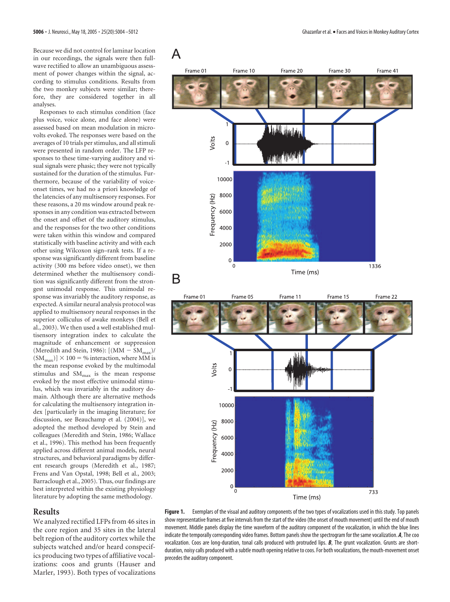Because we did not control for laminar location in our recordings, the signals were then fullwave rectified to allow an unambiguous assessment of power changes within the signal, according to stimulus conditions. Results from the two monkey subjects were similar; therefore, they are considered together in all analyses.

Responses to each stimulus condition (face plus voice, voice alone, and face alone) were assessed based on mean modulation in microvolts evoked. The responses were based on the averages of 10 trials per stimulus, and all stimuli were presented in random order. The LFP responses to these time-varying auditory and visual signals were phasic; they were not typically sustained for the duration of the stimulus. Furthermore, because of the variability of voiceonset times, we had no a priori knowledge of the latencies of any multisensory responses. For these reasons, a 20 ms window around peak responses in any condition was extracted between the onset and offset of the auditory stimulus, and the responses for the two other conditions were taken within this window and compared statistically with baseline activity and with each other using Wilcoxon sign–rank tests. If a response was significantly different from baseline activity (300 ms before video onset), we then determined whether the multisensory condition was significantly different from the strongest unimodal response. This unimodal response was invariably the auditory response, as expected. A similar neural analysis protocol was applied to multisensory neural responses in the superior colliculus of awake monkeys (Bell et al., 2003). We then used a well established multisensory integration index to calculate the magnitude of enhancement or suppression (Meredith and Stein, 1986):  $[(MM - SM<sub>max</sub>)$  $(SM<sub>max</sub>)$  × 100 = % interaction, where MM is the mean response evoked by the multimodal stimulus and  $\text{SM}_\text{max}$  is the mean response evoked by the most effective unimodal stimulus, which was invariably in the auditory domain. Although there are alternative methods for calculating the multisensory integration index [particularly in the imaging literature; for discussion, see Beauchamp et al. (2004)], we adopted the method developed by Stein and colleagues (Meredith and Stein, 1986; Wallace et al., 1996). This method has been frequently applied across different animal models, neural structures, and behavioral paradigms by different research groups (Meredith et al., 1987; Frens and Van Opstal, 1998; Bell et al., 2003; Barraclough et al., 2005). Thus, our findings are best interpreted within the existing physiology literature by adopting the same methodology.

#### **Results**

We analyzed rectified LFPs from 46 sites in the core region and 35 sites in the lateral belt region of the auditory cortex while the subjects watched and/or heard conspecifics producing two types of affiliative vocalizations: coos and grunts (Hauser and Marler, 1993). Both types of vocalizations



**Figure 1.** Exemplars of the visual and auditory components of the two types of vocalizations used in this study. Top panels show representative frames at five intervals from the start of the video (the onset of mouth movement) until the end of mouth movement. Middle panels display the time waveform of the auditory component of the vocalization, in which the blue lines indicate the temporally corresponding video frames. Bottom panels show the spectrogram for the same vocalization. *A*, The coo vocalization. Coos are long-duration, tonal calls produced with protruded lips. *B*, The grunt vocalization. Grunts are shortduration, noisy calls produced with a subtle mouth opening relative to coos. For both vocalizations, the mouth-movement onset precedes the auditory component.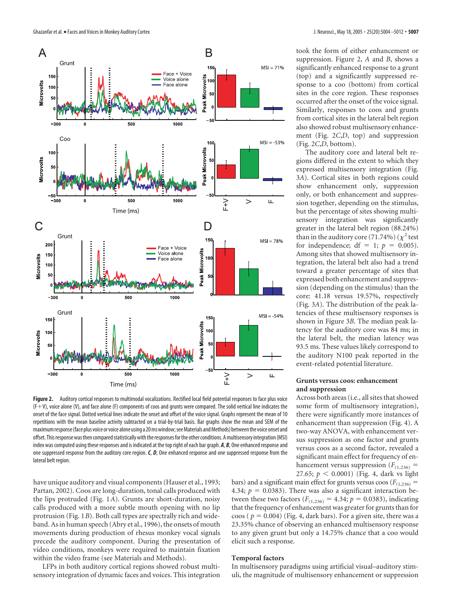

**Figure 2.** Auditory cortical responses to multimodal vocalizations. Rectified local field potential responses to face plus voice  $(F+V)$ , voice alone (V), and face alone (F) components of coos and grunts were compared. The solid vertical line indicates the onset of the face signal. Dotted vertical lines indicate the onset and offset of the voice signal. Graphs represent the mean of 10 repetitions with the mean baseline activity subtracted on a trial-by-trial basis. Bar graphs show the mean and SEM of the maximumresponse(face plus voice or voice alone using a 20mswindow;seeMaterials andMethods) betweenthe voice onset and offset. This response was then compared statistically with the responses for the other conditions. A multisensory integration (MSI) index was computed using these responses and is indicated at the top right of each bar graph. *A*, *B*, One enhanced response and one suppressed response from the auditory core region. *C*, *D*, One enhanced response and one suppressed response from the lateral belt region.

have unique auditory and visual components (Hauser et al., 1993; Partan, 2002). Coos are long-duration, tonal calls produced with the lips protruded (Fig. 1*A*). Grunts are short-duration, noisy calls produced with a more subtle mouth opening with no lip protrusion (Fig. 1*B*). Both call types are spectrally rich and wideband. As in human speech (Abry et al., 1996), the onsets of mouth movements during production of rhesus monkey vocal signals precede the auditory component. During the presentation of video conditions, monkeys were required to maintain fixation within the video frame (see Materials and Methods).

LFPs in both auditory cortical regions showed robust multisensory integration of dynamic faces and voices. This integration took the form of either enhancement or suppression. Figure 2, *A* and *B*, shows a significantly enhanced response to a grunt (top) and a significantly suppressed response to a coo (bottom) from cortical sites in the core region. These responses occurred after the onset of the voice signal. Similarly, responses to coos and grunts from cortical sites in the lateral belt region also showed robust multisensory enhancement (Fig. 2*C*,*D*, top) and suppression (Fig. 2*C*,*D*, bottom).

The auditory core and lateral belt regions differed in the extent to which they expressed multisensory integration (Fig. 3*A*). Cortical sites in both regions could show enhancement only, suppression only, or both enhancement and suppression together, depending on the stimulus, but the percentage of sites showing multisensory integration was significantly greater in the lateral belt region (88.24%) than in the auditory core (71.74%) ( $\chi^2$  test for independence; df = 1;  $p = 0.005$ ). Among sites that showed multisensory integration, the lateral belt also had a trend toward a greater percentage of sites that expressed both enhancement and suppression (depending on the stimulus) than the core: 41.18 versus 19.57%, respectively (Fig. 3*A*). The distribution of the peak latencies of these multisensory responses is shown in Figure 3*B*. The median peak latency for the auditory core was 84 ms; in the lateral belt, the median latency was 93.5 ms. These values likely correspond to the auditory N100 peak reported in the event-related potential literature.

## **Grunts versus coos: enhancement and suppression**

Across both areas (i.e., all sites that showed some form of multisensory integration), there were significantly more instances of enhancement than suppression (Fig. 4). A two-way ANOVA, with enhancement versus suppression as one factor and grunts versus coos as a second factor, revealed a significant main effect for frequency of enhancement versus suppression  $(F_{(1,236)}$  = 27.65;  $p < 0.0001$ ) (Fig. 4, dark vs light

bars) and a significant main effect for grunts versus coos ( $F_{(1,236)}$  = 4.34;  $p = 0.0383$ ). There was also a significant interaction between these two factors ( $F_{(1,236)} = 4.34$ ;  $p = 0.0383$ ), indicating that the frequency of enhancement was greater for grunts than for coos ( $p = 0.004$ ) (Fig. 4, dark bars). For a given site, there was a 23.35% chance of observing an enhanced multisensory response to any given grunt but only a 14.75% chance that a coo would elicit such a response.

#### **Temporal factors**

In multisensory paradigms using artificial visual–auditory stimuli, the magnitude of multisensory enhancement or suppression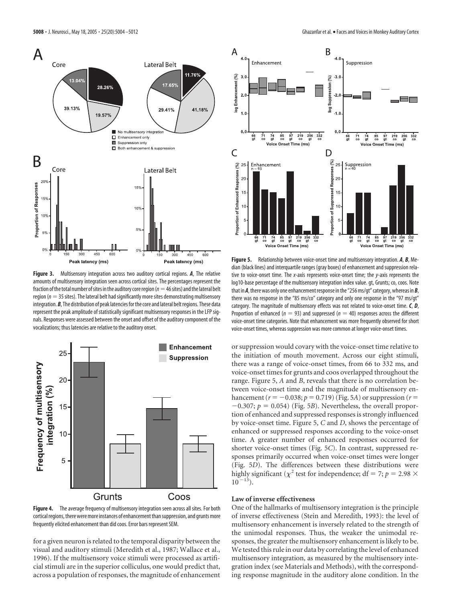

**Figure 3.** Multisensory integration across two auditory cortical regions. *A*, The relative amounts of multisensory integration seen across cortical sites. The percentages represent the fraction of the total number of sites in the auditory core region ( $n=46$  sites) and the lateral belt region (*n* 35 sites). The lateral belt had significantly more sites demonstrating multisensory integration. **B**, The distribution of peak latencies for the core and lateral belt regions. These data represent the peak amplitude of statistically significant multisensory responses in the LFP signals. Responses were assessed between the onset and offset of the auditory component of the vocalizations; thus latencies are relative to the auditory onset.



Figure 4. The average frequency of multisensory integration seen across all sites. For both cortical regions, there were more instances of enhancement than suppression, and grunts more frequently elicited enhancement than did coos. Error bars represent SEM.

for a given neuron is related to the temporal disparity between the visual and auditory stimuli (Meredith et al., 1987; Wallace et al., 1996). If the multisensory voice stimuli were processed as artificial stimuli are in the superior colliculus, one would predict that, across a population of responses, the magnitude of enhancement



**Figure 5.** Relationship between voice-onset time and multisensory integration. *A*, *B*, Median (black lines) and interquartile ranges (gray boxes) of enhancement and suppression relative to voice-onset time. The *x*-axis represents voice-onset time; the *y*-axis represents the log10-base percentage of the multisensory integration index value. gt, Grunts; co, coos. Note that in *A*, there was only one enhancement response in the "256 ms/gt" category, whereas in *B*, there was no response in the "85 ms/co" category and only one response in the "97 ms/gt" category. The magnitude of multisensory effects was not related to voice-onset time. *C*, *D*, Proportion of enhanced ( $n = 93$ ) and suppressed ( $n = 40$ ) responses across the different voice-onset time categories. Note that enhancement was more frequently observed for short voice-onset times, whereas suppression was more common at longer voice-onset times.

or suppression would covary with the voice-onset time relative to the initiation of mouth movement. Across our eight stimuli, there was a range of voice-onset times, from 66 to 332 ms, and voice-onset times for grunts and coos overlapped throughout the range. Figure 5, *A* and *B*, reveals that there is no correlation between voice-onset time and the magnitude of multisensory enhancement ( $r = -0.038; p = 0.719$ ) (Fig. 5*A*) or suppression ( $r =$  $-0.307$ ;  $p = 0.054$ ) (Fig. 5*B*). Nevertheless, the overall proportion of enhanced and suppressed responses is strongly influenced by voice-onset time. Figure 5, *C* and *D*, shows the percentage of enhanced or suppressed responses according to the voice-onset time. A greater number of enhanced responses occurred for shorter voice-onset times (Fig. 5*C*). In contrast, suppressed responses primarily occurred when voice-onset times were longer (Fig. 5*D*). The differences between these distributions were highly significant ( $\chi^2$  test for independence; df = 7; *p* = 2.98  $\times$  $10^{-13}$ ).

# **Law of inverse effectiveness**

One of the hallmarks of multisensory integration is the principle of inverse effectiveness (Stein and Meredith, 1993): the level of multisensory enhancement is inversely related to the strength of the unimodal responses. Thus, the weaker the unimodal responses, the greater the multisensory enhancement is likely to be. We tested this rule in our data by correlating the level of enhanced multisensory integration, as measured by the multisensory integration index (see Materials and Methods), with the corresponding response magnitude in the auditory alone condition. In the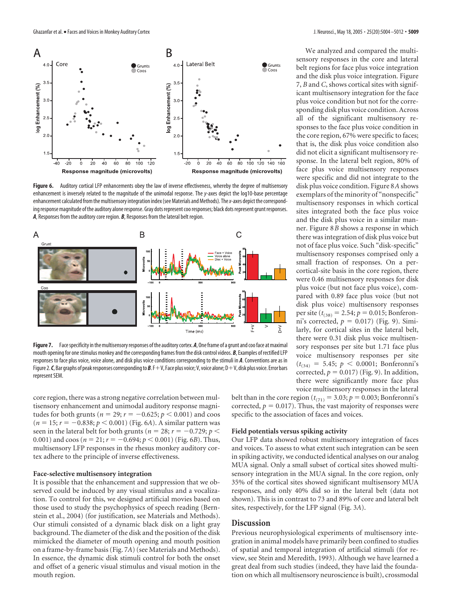

Figure 6. Auditory cortical LFP enhancements obey the law of inverse effectiveness, whereby the degree of multisensory enhancement is inversely related to the magnitude of the unimodal response. The *y*-axes depict the log10-base percentage enhancement calculated from the multisensory integration index (see Materials and Methods). The *x*-axes depict the corresponding response magnitude of the auditory alone response. Gray dots represent coo responses; black dots represent grunt responses. *A*, Responses from the auditory core region. *B*, Responses from the lateral belt region.



**Figure 7.** Facespecificity inthemultisensoryresponses ofthe auditory cortex. *A*, One frame of a grunt and coo face atmaximal mouth opening for onestimulus monkey and the corresponding frames from the disk control videos. *B*, Examples of rectified LFP responses to face plus voice, voice alone, and disk plus voice conditions corresponding to the stimuli in *A*. Conventions are as in Figure 2. C, Bar graphs of peak responses corresponding to B. F + V, Face plus voice; V, voice alone; D + V, disk plus voice. Error bars represent SEM.

core region, there was a strong negative correlation between multisensory enhancement and unimodal auditory response magnitudes for both grunts ( $n = 29$ ;  $r = -0.625$ ;  $p < 0.001$ ) and coos  $(n = 15; r = -0.838; p < 0.001)$  (Fig. 6*A*). A similar pattern was seen in the lateral belt for both grunts ( $n = 28$ ;  $r = -0.729$ ;  $p <$ 0.001) and coos ( $n = 21$ ;  $r = -0.694$ ;  $p < 0.001$ ) (Fig. 6*B*). Thus, multisensory LFP responses in the rhesus monkey auditory cortex adhere to the principle of inverse effectiveness.

#### **Face-selective multisensory integration**

It is possible that the enhancement and suppression that we observed could be induced by any visual stimulus and a vocalization. To control for this, we designed artificial movies based on those used to study the psychophysics of speech reading (Bernstein et al., 2004) (for justification, see Materials and Methods). Our stimuli consisted of a dynamic black disk on a light gray background. The diameter of the disk and the position of the disk mimicked the diameter of mouth opening and mouth position on a frame-by-frame basis (Fig. 7*A*) (see Materials and Methods). In essence, the dynamic disk stimuli control for both the onset and offset of a generic visual stimulus and visual motion in the mouth region.

belt than in the core region ( $t_{(71)} = 3.03$ ;  $p = 0.003$ ; Bonferonni's corrected,  $p = 0.017$ ). Thus, the vast majority of responses were specific to the association of faces and voices.

# **Field potentials versus spiking activity**

Our LFP data showed robust multisensory integration of faces and voices. To assess to what extent such integration can be seen in spiking activity, we conducted identical analyses on our analog MUA signal. Only a small subset of cortical sites showed multisensory integration in the MUA signal. In the core region, only 35% of the cortical sites showed significant multisensory MUA responses, and only 40% did so in the lateral belt (data not shown). This is in contrast to 73 and 89% of core and lateral belt sites, respectively, for the LFP signal (Fig. 3*A*).

#### **Discussion**

Previous neurophysiological experiments of multisensory integration in animal models have primarily been confined to studies of spatial and temporal integration of artificial stimuli (for review, see Stein and Meredith, 1993). Although we have learned a great deal from such studies (indeed, they have laid the foundation on which all multisensory neuroscience is built), crossmodal

We analyzed and compared the multisensory responses in the core and lateral belt regions for face plus voice integration and the disk plus voice integration. Figure 7, *B* and *C*, shows cortical sites with significant multisensory integration for the face plus voice condition but not for the corresponding disk plus voice condition. Across all of the significant multisensory responses to the face plus voice condition in the core region, 67% were specific to faces; that is, the disk plus voice condition also did not elicit a significant multisensory response. In the lateral belt region, 80% of face plus voice multisensory responses were specific and did not integrate to the disk plus voice condition. Figure 8*A* shows exemplars of the minority of "nonspecific" multisensory responses in which cortical sites integrated both the face plus voice and the disk plus voice in a similar manner. Figure 8*B* shows a response in which there was integration of disk plus voice but not of face plus voice. Such "disk-specific" multisensory responses comprised only a small fraction of responses. On a percortical-site basis in the core region, there were 0.46 multisensory responses for disk plus voice (but not face plus voice), compared with 0.89 face plus voice (but not disk plus voice) multisensory responses per site ( $t_{(38)} = 2.54$ ;  $p = 0.015$ ; Bonferonni's corrected,  $p = 0.017$ ) (Fig. 9). Similarly, for cortical sites in the lateral belt, there were 0.31 disk plus voice multisensory responses per site but 1.71 face plus voice multisensory responses per site  $(t_{(34)} = 5.45; p < 0.0001;$  Bonferonni's corrected,  $p = 0.017$ ) (Fig. 9). In addition, there were significantly more face plus voice multisensory responses in the lateral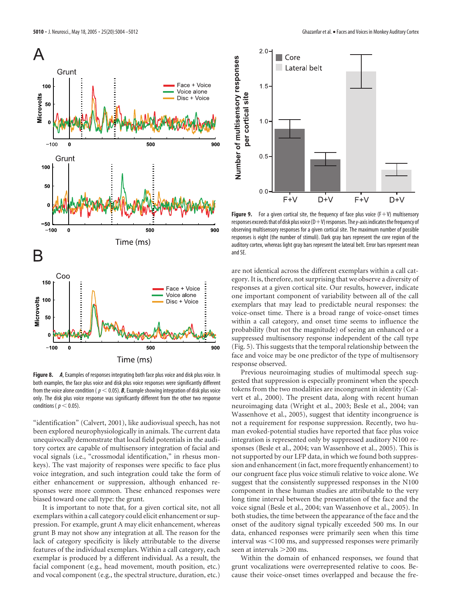

**Figure 8.** *A*, Examples of responses integrating both face plus voice and disk plus voice. In both examples, the face plus voice and disk plus voice responses were significantly different from the voice alone condition ( $p < 0.05$ ). **B**, Example showing integration of disk plus voice only. The disk plus voice response was significantly different from the other two response conditions ( $p < 0.05$ ).

"identification" (Calvert, 2001), like audiovisual speech, has not been explored neurophysiologically in animals. The current data unequivocally demonstrate that local field potentials in the auditory cortex are capable of multisensory integration of facial and vocal signals (i.e., "crossmodal identification," in rhesus monkeys). The vast majority of responses were specific to face plus voice integration, and such integration could take the form of either enhancement or suppression, although enhanced responses were more common. These enhanced responses were biased toward one call type: the grunt.

It is important to note that, for a given cortical site, not all exemplars within a call category could elicit enhancement or suppression. For example, grunt A may elicit enhancement, whereas grunt B may not show any integration at all. The reason for the lack of category specificity is likely attributable to the diverse features of the individual exemplars. Within a call category, each exemplar is produced by a different individual. As a result, the facial component (e.g., head movement, mouth position, etc.) and vocal component (e.g., the spectral structure, duration, etc.)



**Figure 9.** For a given cortical site, the frequency of face plus voice  $(F+V)$  multisensory responses exceeds that of disk plus voice ( $D+V$ ) responses. The *y*-axis indicates the frequency of observing multisensory responses for a given cortical site. The maximum number of possible responses is eight (the number of stimuli). Dark gray bars represent the core region of the auditory cortex, whereas light gray bars represent the lateral belt. Error bars represent mean and SE.

are not identical across the different exemplars within a call category. It is, therefore, not surprising that we observe a diversity of responses at a given cortical site. Our results, however, indicate one important component of variability between all of the call exemplars that may lead to predictable neural responses: the voice-onset time. There is a broad range of voice-onset times within a call category, and onset time seems to influence the probability (but not the magnitude) of seeing an enhanced or a suppressed multisensory response independent of the call type (Fig. 5). This suggests that the temporal relationship between the face and voice may be one predictor of the type of multisensory response observed.

Previous neuroimaging studies of multimodal speech suggested that suppression is especially prominent when the speech tokens from the two modalities are incongruent in identity (Calvert et al., 2000). The present data, along with recent human neuroimaging data (Wright et al., 2003; Besle et al., 2004; van Wassenhove et al., 2005), suggest that identity incongruence is not a requirement for response suppression. Recently, two human evoked-potential studies have reported that face plus voice integration is represented only by suppressed auditory N100 responses (Besle et al., 2004; van Wassenhove et al., 2005). This is not supported by our LFP data, in which we found both suppression and enhancement (in fact, more frequently enhancement) to our congruent face plus voice stimuli relative to voice alone. We suggest that the consistently suppressed responses in the N100 component in these human studies are attributable to the very long time interval between the presentation of the face and the voice signal (Besle et al., 2004; van Wassenhove et al., 2005). In both studies, the time between the appearance of the face and the onset of the auditory signal typically exceeded 500 ms. In our data, enhanced responses were primarily seen when this time interval was  $\leq 100$  ms, and suppressed responses were primarily seen at intervals > 200 ms.

Within the domain of enhanced responses, we found that grunt vocalizations were overrepresented relative to coos. Because their voice-onset times overlapped and because the fre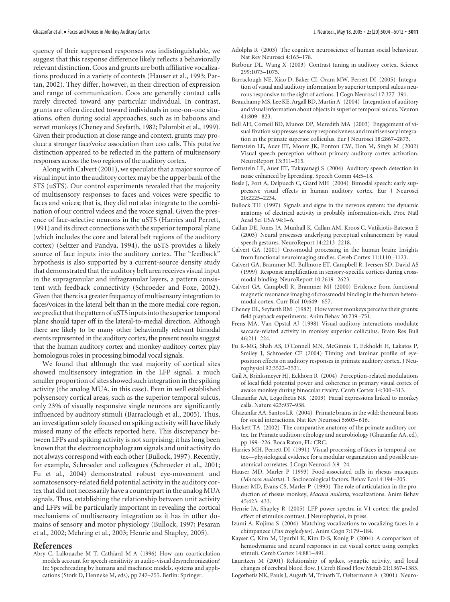quency of their suppressed responses was indistinguishable, we suggest that this response difference likely reflects a behaviorally relevant distinction. Coos and grunts are both affiliative vocalizations produced in a variety of contexts (Hauser et al., 1993; Partan, 2002). They differ, however, in their direction of expression and range of communication. Coos are generally contact calls rarely directed toward any particular individual. In contrast, grunts are often directed toward individuals in one-on-one situations, often during social approaches, such as in baboons and vervet monkeys (Cheney and Seyfarth, 1982; Palombit et al., 1999). Given their production at close range and context, grunts may produce a stronger face/voice association than coo calls. This putative distinction appeared to be reflected in the pattern of multisensory responses across the two regions of the auditory cortex.

Along with Calvert (2001), we speculate that a major source of visual input into the auditory cortex may be the upper bank of the STS (uSTS). Our control experiments revealed that the majority of multisensory responses to faces and voices were specific to faces and voices; that is, they did not also integrate to the combination of our control videos and the voice signal. Given the presence of face-selective neurons in the uSTS (Harries and Perrett, 1991) and its direct connections with the superior temporal plane (which includes the core and lateral belt regions of the auditory cortex) (Seltzer and Pandya, 1994), the uSTS provides a likely source of face inputs into the auditory cortex. The "feedback" hypothesis is also supported by a current-source density study that demonstrated that the auditory belt area receives visual input in the supragranular and infragranular layers, a pattern consistent with feedback connectivity (Schroeder and Foxe, 2002). Given that there is a greater frequency of multisensory integration to faces/voices in the lateral belt than in the more medial core region, we predict that the pattern of uSTS inputs into the superior temporal plane should taper off in the lateral-to-medial direction. Although there are likely to be many other behaviorally relevant bimodal events represented in the auditory cortex, the present results suggest that the human auditory cortex and monkey auditory cortex play homologous roles in processing bimodal vocal signals.

We found that although the vast majority of cortical sites showed multisensory integration in the LFP signal, a much smaller proportion of sites showed such integration in the spiking activity (the analog MUA, in this case). Even in well established polysensory cortical areas, such as the superior temporal sulcus, only 23% of visually responsive single neurons are significantly influenced by auditory stimuli (Barraclough et al., 2005). Thus, an investigation solely focused on spiking activity will have likely missed many of the effects reported here. This discrepancy between LFPs and spiking activity is not surprising; it has long been known that the electroencephalogram signals and unit activity do not always correspond with each other (Bullock, 1997). Recently, for example, Schroeder and colleagues (Schroeder et al., 2001; Fu et al., 2004) demonstrated robust eye-movement and somatosensory-related field potential activity in the auditory cortex that did not necessarily have a counterpart in the analog MUA signals. Thus, establishing the relationship between unit activity and LFPs will be particularly important in revealing the cortical mechanisms of multisensory integration as it has in other domains of sensory and motor physiology (Bullock, 1997; Pesaran et al., 2002; Mehring et al., 2003; Henrie and Shapley, 2005).

#### **References**

Abry C, Lallouache M-T, Cathiard M-A (1996) How can coarticulation models account for speech sensitivity in audio-visual desynchronization? In: Speechreading by humans and machines: models, systems and applications (Stork D, Henneke M, eds), pp 247–255. Berlin: Springer.

- Adolphs R (2003) The cognitive neuroscience of human social behaviour. Nat Rev Neurosci 4:165–178.
- Barbour DL, Wang X (2003) Contrast tuning in auditory cortex. Science 299:1073–1075.
- Barraclough NE, Xiao D, Baker CI, Oram MW, Perrett DI (2005) Integration of visual and auditory information by superior temporal sulcus neurons responsive to the sight of actions. J Cogn Neurosci 17:377–391.
- Beauchamp MS, Lee KE, Argall BD, Martin A (2004) Integration of auditory and visual information about objects in superior temporal sulcus. Neuron 41:809 –823.
- Bell AH, Corneil BD, Munoz DP, Meredith MA (2003) Engagement of visual fixation suppresses sensory responsiveness and multisensory integration in the primate superior colliculus. Eur J Neurosci 18:2867–2873.
- Bernstein LE, Auer ET, Moore JK, Ponton CW, Don M, Singh M (2002) Visual speech perception without primary auditory cortex activation. NeuroReport 13:311–315.
- Bernstein LE, Auer ET, Takayanagi S (2004) Auditory speech detection in noise enhanced by lipreading. Speech Comm 44:5–18.
- Besle J, Fort A, Delpuech C, Giard MH (2004) Bimodal speech: early suppressive visual effects in human auditory cortex. Eur J Neurosci 20:2225–2234.
- Bullock TH (1997) Signals and signs in the nervous system: the dynamic anatomy of electrical activity is probably information-rich. Proc Natl Acad Sci USA 94:1–6.
- Callan DE, Jones JA, Munhall K, Callan AM, Kroos C, Vatikiotis-Bateson E (2003) Neural processes underlying perceptual enhancement by visual speech gestures. NeuroReport 14:2213–2218.
- Calvert GA (2001) Crossmodal processing in the human brain: Insights from functional neuroimaging studies. Cereb Cortex 11:1110 –1123.
- Calvert GA, Brammer MJ, Bullmore ET, Campbell R, Iversen SD, David AS (1999) Response amplification in sensory-specific cortices during crossmodal binding. NeuroReport 10:2619 –2623.
- Calvert GA, Campbell R, Brammer MJ (2000) Evidence from functional magnetic resonance imaging of crossmodal binding in the human heteromodal cortex. Curr Biol 10:649 –657.
- Cheney DL, Seyfarth RM (1982) How vervet monkeys perceive their grunts: field playback experiments. Anim Behav 30:739 –751.
- Frens MA, Van Opstal AJ (1998) Visual-auditory interactions modulate saccade-related activity in monkey superior colliculus. Brain Res Bull 46:211–224.
- Fu K-MG, Shah AS, O'Connell MN, McGinnis T, Eckholdt H, Lakatos P, Smiley J, Schroeder CE (2004) Timing and laminar profile of eyeposition effects on auditory responses in primate auditory cortex. J Neurophysiol 92:3522–3531.
- Gail A, Brinksmeyer HJ, Eckhorn R (2004) Perception-related modulations of local field potential power and coherence in primary visual cortex of awake monkey during binocular rivalry. Cereb Cortex 14:300 –313.
- Ghazanfar AA, Logothetis NK (2003) Facial expressions linked to monkey calls. Nature 423:937–938.
- Ghazanfar AA, Santos LR (2004) Primate brains in the wild: the neural bases for social interactions. Nat Rev Neurosci 5:603–616.
- Hackett TA (2002) The comparative anatomy of the primate auditory cortex. In: Primate audition: ethology and neurobiology (Ghazanfar AA, ed), pp 199 –226. Boca Raton, FL: CRC.
- Harries MH, Perrett DI (1991) Visual processing of faces in temporal cortex—physiological evidence for a modular organization and possible anatomical correlates. J Cogn Neurosci 3:9 –24.
- Hauser MD, Marler P (1993) Food-associated calls in rhesus macaques (*Macaca mulatta*). I. Socioecological factors. Behav Ecol 4:194 –205.
- Hauser MD, Evans CS, Marler P (1993) The role of articulation in the production of rhesus monkey, *Macaca mulatta*, vocalizations. Anim Behav 45:423–433.
- Henrie JA, Shapley R (2005) LFP power spectra in V1 cortex: the graded effect of stimulus contrast. J Neurophysiol, in press.
- Izumi A, Kojima S (2004) Matching vocalizations to vocalizing faces in a chimpanzee (*Pan troglodytes*). Anim Cogn 7:179 –184.
- Kayser C, Kim M, Ugurbil K, Kim D-S, Konig P (2004) A comparison of hemodynamic and neural responses in cat visual cortex using complex stimuli. Cereb Cortex 14:881–891.

Lauritzen M (2001) Relationship of spikes, synaptic activity, and local changes of cerebral blood flow. J Cereb Blood Flow Metab 21:1367–1383.

Logothetis NK, Pauls J, Augath M, Trinath T, Oeltermann A (2001) Neuro-